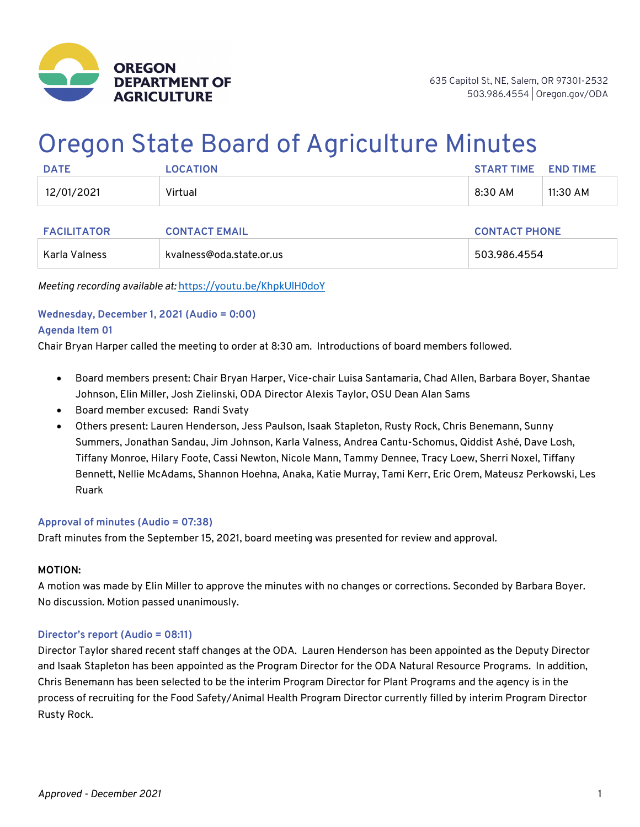

# Oregon State Board of Agriculture Minutes

| <b>DATE</b> | <b>LOCATION</b> | <b>START TIME</b> | <b>END TIME</b> |
|-------------|-----------------|-------------------|-----------------|
| 12/01/2021  | Virtual         | 8:30 AM           | 11:30 AM        |

| <b>FACILITATOR</b> | <b>CONTACT EMAIL</b>     | <b>CONTACT PHONE</b> |  |
|--------------------|--------------------------|----------------------|--|
| Karla Valness      | kvalness@oda.state.or.us | 503.986.4554         |  |

*Meeting recording available at:* https://youtu.be/KhpkUlH0doY

# **Wednesday, December 1, 2021 (Audio = 0:00)**

#### **Agenda Item 01**

Chair Bryan Harper called the meeting to order at 8:30 am. Introductions of board members followed.

- Board members present: Chair Bryan Harper, Vice-chair Luisa Santamaria, Chad Allen, Barbara Boyer, Shantae Johnson, Elin Miller, Josh Zielinski, ODA Director Alexis Taylor, OSU Dean Alan Sams
- Board member excused: Randi Svaty
- Others present: Lauren Henderson, Jess Paulson, Isaak Stapleton, Rusty Rock, Chris Benemann, Sunny Summers, Jonathan Sandau, Jim Johnson, Karla Valness, Andrea Cantu-Schomus, Qiddist Ashé, Dave Losh, Tiffany Monroe, Hilary Foote, Cassi Newton, Nicole Mann, Tammy Dennee, Tracy Loew, Sherri Noxel, Tiffany Bennett, Nellie McAdams, Shannon Hoehna, Anaka, Katie Murray, Tami Kerr, Eric Orem, Mateusz Perkowski, Les Ruark

#### **Approval of minutes (Audio = 07:38)**

Draft minutes from the September 15, 2021, board meeting was presented for review and approval.

#### **MOTION:**

A motion was made by Elin Miller to approve the minutes with no changes or corrections. Seconded by Barbara Boyer. No discussion. Motion passed unanimously.

#### **Director's report (Audio = 08:11)**

Director Taylor shared recent staff changes at the ODA. Lauren Henderson has been appointed as the Deputy Director and Isaak Stapleton has been appointed as the Program Director for the ODA Natural Resource Programs. In addition, Chris Benemann has been selected to be the interim Program Director for Plant Programs and the agency is in the process of recruiting for the Food Safety/Animal Health Program Director currently filled by interim Program Director Rusty Rock.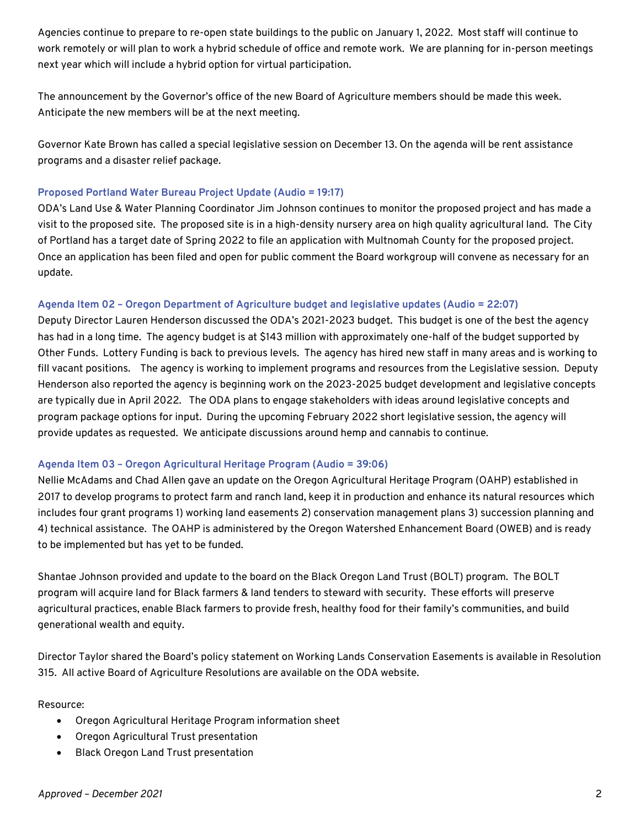Agencies continue to prepare to re-open state buildings to the public on January 1, 2022. Most staff will continue to work remotely or will plan to work a hybrid schedule of office and remote work. We are planning for in-person meetings next year which will include a hybrid option for virtual participation.

The announcement by the Governor's office of the new Board of Agriculture members should be made this week. Anticipate the new members will be at the next meeting.

Governor Kate Brown has called a special legislative session on December 13. On the agenda will be rent assistance programs and a disaster relief package.

## **Proposed Portland Water Bureau Project Update (Audio = 19:17)**

ODA's Land Use & Water Planning Coordinator Jim Johnson continues to monitor the proposed project and has made a visit to the proposed site. The proposed site is in a high-density nursery area on high quality agricultural land. The City of Portland has a target date of Spring 2022 to file an application with Multnomah County for the proposed project. Once an application has been filed and open for public comment the Board workgroup will convene as necessary for an update.

# **Agenda Item 02 – Oregon Department of Agriculture budget and legislative updates (Audio = 22:07)**

Deputy Director Lauren Henderson discussed the ODA's 2021-2023 budget. This budget is one of the best the agency has had in a long time. The agency budget is at \$143 million with approximately one-half of the budget supported by Other Funds. Lottery Funding is back to previous levels. The agency has hired new staff in many areas and is working to fill vacant positions. The agency is working to implement programs and resources from the Legislative session. Deputy Henderson also reported the agency is beginning work on the 2023-2025 budget development and legislative concepts are typically due in April 2022. The ODA plans to engage stakeholders with ideas around legislative concepts and program package options for input. During the upcoming February 2022 short legislative session, the agency will provide updates as requested. We anticipate discussions around hemp and cannabis to continue.

#### **Agenda Item 03 – Oregon Agricultural Heritage Program (Audio = 39:06)**

Nellie McAdams and Chad Allen gave an update on the Oregon Agricultural Heritage Program (OAHP) established in 2017 to develop programs to protect farm and ranch land, keep it in production and enhance its natural resources which includes four grant programs 1) working land easements 2) conservation management plans 3) succession planning and 4) technical assistance. The OAHP is administered by the Oregon Watershed Enhancement Board (OWEB) and is ready to be implemented but has yet to be funded.

Shantae Johnson provided and update to the board on the Black Oregon Land Trust (BOLT) program. The BOLT program will acquire land for Black farmers & land tenders to steward with security. These efforts will preserve agricultural practices, enable Black farmers to provide fresh, healthy food for their family's communities, and build generational wealth and equity.

Director Taylor shared the Board's policy statement on Working Lands Conservation Easements is available in Resolution 315. All active Board of Agriculture Resolutions are available on the ODA website.

#### Resource:

- Oregon Agricultural Heritage Program information sheet
- Oregon Agricultural Trust presentation
- Black Oregon Land Trust presentation